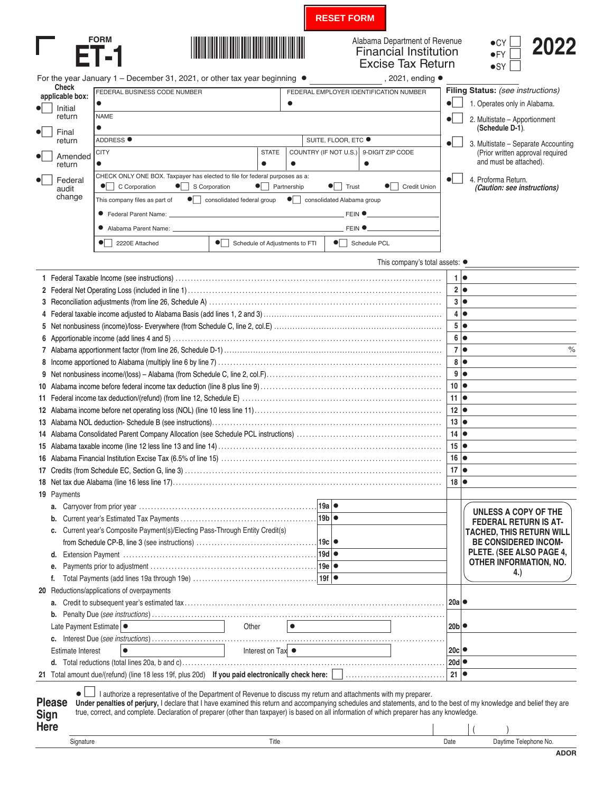**RESET FORM**

 $\bullet$  Schedule PCL





 $\bullet$  2220E Attached  $\bullet$ 

## Alabama Department of Revenue<br>
Financial Institution<br>  $\begin{array}{c} \bullet$ CY **2022** Excise Tax Return

| $\bullet$ CY $\Box$ | 2022 |
|---------------------|------|
| $\bullet$ FY $\Box$ |      |
| $\bullet$ SY $\Box$ |      |

For the year January 1 – December 31, 2021, or other tax year beginning  $\bullet$  , 2021, ending  $\bullet$ **Check applicable box:**  $\bullet|$  Initial return  $\bullet$  Final return •- Amended return •-Federal<br>audit change **Filing Status:** *(see instructions)* •- 1. Operates only in Alabama.  $\bullet$  2. Multistate – Apportionment **(Schedule D-1)**.  $\bullet$  3. Multistate – Separate Accounting (Prior written approval required and must be attached).  $\bullet$  4. Proforma Return.  *(Caution: see instructions)* FEDERAL BUSINESS CODE NUMBER **FEDERAL EMPLOYER IDENTIFICATION NUMBER** • • NAME • ADDRESS ● SUITE, FLOOR, ETC ● CITY CITY STATE COUNTRY (IF NOT U.S.) 9-DIGIT ZIP CODE • • • • CHECK ONLY ONE BOX. Taxpayer has elected to file for federal purposes as a:  $\bullet$  C Corporation  $\bullet$  $\bullet$  S Corporation  $\bullet$  Partnership  $\bullet$  Trust  $\bullet$  Credit Union This company files as part of consolidated federal group  $\bullet$  consolidated Alabama group • Federal Parent Name: FEIN • • Alabama Parent Name: FEIN •

 $\bullet$  Schedule of Adjustments to FTI



|      |                                                                                                                                                                                                                                                                                                                                                                                                                                                           |                 |           |             |                                                    |                | 1  <sub>o</sub>                                    |
|------|-----------------------------------------------------------------------------------------------------------------------------------------------------------------------------------------------------------------------------------------------------------------------------------------------------------------------------------------------------------------------------------------------------------------------------------------------------------|-----------------|-----------|-------------|----------------------------------------------------|----------------|----------------------------------------------------|
|      |                                                                                                                                                                                                                                                                                                                                                                                                                                                           |                 |           |             |                                                    |                | 2 •                                                |
|      |                                                                                                                                                                                                                                                                                                                                                                                                                                                           |                 |           |             |                                                    |                | 3 •                                                |
|      |                                                                                                                                                                                                                                                                                                                                                                                                                                                           |                 |           |             |                                                    | 4 <sup>1</sup> | lo                                                 |
|      |                                                                                                                                                                                                                                                                                                                                                                                                                                                           |                 |           |             |                                                    | 5              | lo                                                 |
|      |                                                                                                                                                                                                                                                                                                                                                                                                                                                           |                 |           |             |                                                    | 6              | lo                                                 |
|      |                                                                                                                                                                                                                                                                                                                                                                                                                                                           |                 |           |             |                                                    | $\overline{7}$ | $\%$<br>lo                                         |
|      |                                                                                                                                                                                                                                                                                                                                                                                                                                                           |                 |           |             |                                                    | 8              | lo                                                 |
|      |                                                                                                                                                                                                                                                                                                                                                                                                                                                           |                 |           |             |                                                    | 9              | $\bullet$                                          |
|      |                                                                                                                                                                                                                                                                                                                                                                                                                                                           |                 |           |             |                                                    | 10             | $\bullet$                                          |
|      |                                                                                                                                                                                                                                                                                                                                                                                                                                                           |                 |           |             |                                                    | 11             | lo                                                 |
|      |                                                                                                                                                                                                                                                                                                                                                                                                                                                           |                 |           |             |                                                    | 12             | lo                                                 |
|      |                                                                                                                                                                                                                                                                                                                                                                                                                                                           |                 |           |             |                                                    | 13             | lo                                                 |
|      |                                                                                                                                                                                                                                                                                                                                                                                                                                                           |                 |           |             |                                                    | 14             | lo                                                 |
|      |                                                                                                                                                                                                                                                                                                                                                                                                                                                           |                 |           |             |                                                    | 15             | lo                                                 |
|      |                                                                                                                                                                                                                                                                                                                                                                                                                                                           |                 |           |             |                                                    | 16             | lo                                                 |
|      |                                                                                                                                                                                                                                                                                                                                                                                                                                                           |                 |           |             |                                                    | 17             | $\bullet$                                          |
|      |                                                                                                                                                                                                                                                                                                                                                                                                                                                           |                 |           |             |                                                    | 18             | lo                                                 |
|      | 19 Payments                                                                                                                                                                                                                                                                                                                                                                                                                                               |                 |           |             |                                                    |                |                                                    |
|      |                                                                                                                                                                                                                                                                                                                                                                                                                                                           |                 |           |             |                                                    |                | UNLESS A COPY OF THE                               |
|      |                                                                                                                                                                                                                                                                                                                                                                                                                                                           |                 |           | $19b \cdot$ |                                                    |                | <b>FEDERAL RETURN IS AT-</b>                       |
|      | c. Current year's Composite Payment(s)/Electing Pass-Through Entity Credit(s)                                                                                                                                                                                                                                                                                                                                                                             |                 |           |             |                                                    |                | <b>TACHED, THIS RETURN WILL</b>                    |
|      |                                                                                                                                                                                                                                                                                                                                                                                                                                                           |                 |           | .∣19c   ●   |                                                    |                | <b>BE CONSIDERED INCOM-</b>                        |
|      |                                                                                                                                                                                                                                                                                                                                                                                                                                                           |                 |           |             |                                                    |                | PLETE. (SEE ALSO PAGE 4,<br>OTHER INFORMATION, NO. |
|      | е.                                                                                                                                                                                                                                                                                                                                                                                                                                                        |                 |           |             |                                                    |                | 4.)                                                |
|      |                                                                                                                                                                                                                                                                                                                                                                                                                                                           |                 |           |             |                                                    |                |                                                    |
|      | 20 Reductions/applications of overpayments                                                                                                                                                                                                                                                                                                                                                                                                                |                 |           |             |                                                    |                |                                                    |
|      |                                                                                                                                                                                                                                                                                                                                                                                                                                                           |                 |           |             |                                                    | l 20a l ●      |                                                    |
|      |                                                                                                                                                                                                                                                                                                                                                                                                                                                           |                 |           |             |                                                    |                |                                                    |
|      | Late Payment Estimate   •                                                                                                                                                                                                                                                                                                                                                                                                                                 | Other           | $\bullet$ |             |                                                    | 20b            |                                                    |
|      |                                                                                                                                                                                                                                                                                                                                                                                                                                                           |                 |           |             |                                                    |                |                                                    |
|      | <b>Estimate Interest</b>                                                                                                                                                                                                                                                                                                                                                                                                                                  | Interest on Tax |           |             | <u> 1989 - Johann Barbara, martxa alemani</u> ar a | 20c            |                                                    |
|      |                                                                                                                                                                                                                                                                                                                                                                                                                                                           |                 |           |             |                                                    | 20d            |                                                    |
|      |                                                                                                                                                                                                                                                                                                                                                                                                                                                           |                 |           |             |                                                    | $21$ $\bullet$ |                                                    |
| Sign | I authorize a representative of the Department of Revenue to discuss my return and attachments with my preparer.<br><b>Please</b><br>Under penalties of perjury, I declare that I have examined this return and accompanying schedules and statements, and to the best of my knowledge and belief they are<br>true, correct, and complete. Declaration of preparer (other than taxpayer) is based on all information of which preparer has any knowledge. |                 |           |             |                                                    |                |                                                    |

| Here |           |       |      |                    |
|------|-----------|-------|------|--------------------|
|      | Signature | Title | Date | Davtime<br>none No |
|      |           |       |      | - - -              |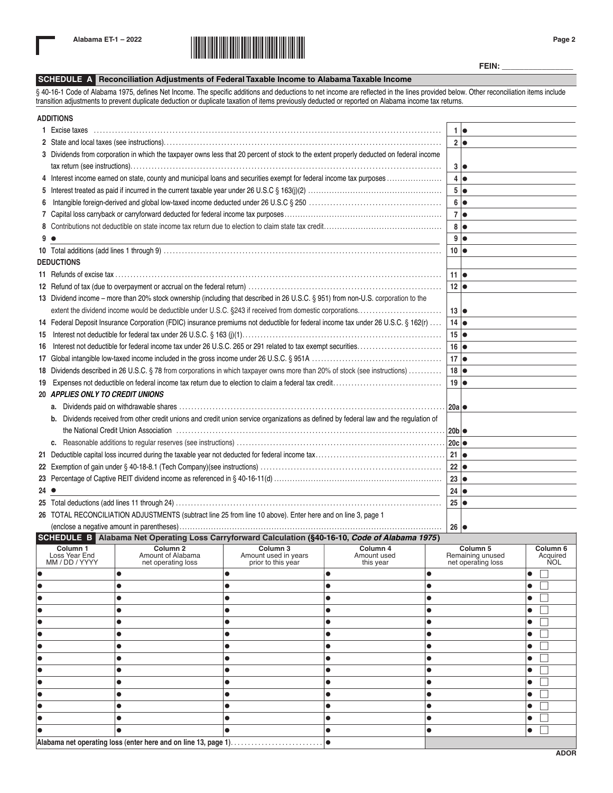

**FEIN: \_\_\_\_\_\_\_\_\_\_\_\_\_\_\_\_**

## **SCHEDULE A Reconciliation Adjustments of Federal Taxable Income to Alabama Taxable Income**

§ 40-16-1 Code of Alabama 1975, defines Net Income. The specific additions and deductions to net income are reflected in the lines provided below. Other reconciliation items include transition adjustments to prevent duplicate deduction or duplicate taxation of items previously deducted or reported on Alabama income tax returns.

|      | <b>ADDITIONS</b>                                                                                                                        |                   |                 |
|------|-----------------------------------------------------------------------------------------------------------------------------------------|-------------------|-----------------|
|      | 1 Excise taxes                                                                                                                          |                   | 1  <sub>o</sub> |
|      |                                                                                                                                         |                   | 2 •             |
|      | 3 Dividends from corporation in which the taxpayer owns less that 20 percent of stock to the extent properly deducted on federal income |                   | 3               |
|      | 4 Interest income earned on state, county and municipal loans and securities exempt for federal income tax purposes                     |                   | 4 •             |
|      |                                                                                                                                         |                   | $5\bullet$      |
| 6.   |                                                                                                                                         |                   | 6               |
|      |                                                                                                                                         |                   | 7  <sub>o</sub> |
|      |                                                                                                                                         |                   | 8 •             |
| 9    | $\bullet$                                                                                                                               |                   | 9 <sub>o</sub>  |
|      |                                                                                                                                         | 10                |                 |
|      | <b>DEDUCTIONS</b>                                                                                                                       |                   |                 |
|      |                                                                                                                                         | 11 I●             |                 |
|      |                                                                                                                                         | $12 \mid \bullet$ |                 |
|      | 13 Dividend income - more than 20% stock ownership (including that described in 26 U.S.C. § 951) from non-U.S. corporation to the       |                   |                 |
|      |                                                                                                                                         | $13 \mid \bullet$ |                 |
|      | 14 Federal Deposit Insurance Corporation (FDIC) insurance premiums not deductible for federal income tax under 26 U.S.C. § 162(r)       | $14$ $\bullet$    |                 |
| 15   |                                                                                                                                         | $15 \bullet$      |                 |
| 16   |                                                                                                                                         | $16 \mid \bullet$ |                 |
|      |                                                                                                                                         | $17 \bullet$      |                 |
|      | 18 Dividends described in 26 U.S.C. § 78 from corporations in which taxpayer owns more than 20% of stock (see instructions)             | 18                |                 |
| 19   |                                                                                                                                         | $19$ $\bullet$    |                 |
|      | 20 APPLIES ONLY TO CREDIT UNIONS                                                                                                        |                   |                 |
|      |                                                                                                                                         | 20a               |                 |
|      | b. Dividends received from other credit unions and credit union service organizations as defined by federal law and the regulation of   |                   |                 |
|      | the National Credit Union Association (2016) - (2016) - (2016) - (2016) - (2016) - (2016) - (2016) - (2016) - (                         |                   |                 |
|      |                                                                                                                                         | 20c               |                 |
|      |                                                                                                                                         |                   |                 |
|      |                                                                                                                                         | $22 \mid \bullet$ |                 |
|      |                                                                                                                                         | $23 \mid \bullet$ |                 |
| 24 ● |                                                                                                                                         | $24$ $\bullet$    |                 |
|      |                                                                                                                                         | 25                |                 |
|      | 26 TOTAL RECONCILIATION ADJUSTMENTS (subtract line 25 from line 10 above). Enter here and on line 3, page 1                             |                   |                 |
|      | $\Omega$                                                                                                                                | 26  ●             |                 |

**SCHEDULE B Alabama Net Operating Loss Carryforward Calculation (§40-16-10,** *Code of Alabama 1975***)**

| Column 1<br>Loss Year End<br>MM / DD / YYYY | Column <sub>2</sub><br>Amount of Alabama<br>net operating loss | Column 3<br>Amount used in years<br>prior to this year | Column 4<br>Amount used<br>this year | Column 5<br>Remaining unused<br>net operating loss | Column <sub>6</sub><br>Acquired<br>NOL |
|---------------------------------------------|----------------------------------------------------------------|--------------------------------------------------------|--------------------------------------|----------------------------------------------------|----------------------------------------|
|                                             |                                                                |                                                        |                                      |                                                    | $\bullet$                              |
|                                             |                                                                |                                                        |                                      |                                                    | $\bullet$                              |
|                                             |                                                                |                                                        |                                      |                                                    | $\bullet$                              |
|                                             |                                                                |                                                        |                                      |                                                    | $\bullet$                              |
|                                             |                                                                |                                                        |                                      |                                                    | $\bullet$                              |
|                                             |                                                                |                                                        |                                      |                                                    | $\bullet$                              |
|                                             |                                                                |                                                        |                                      |                                                    | $\bullet$                              |
|                                             |                                                                |                                                        | C                                    |                                                    | $\bullet$                              |
|                                             |                                                                |                                                        | $\bullet$                            |                                                    | $\bullet$                              |
|                                             |                                                                |                                                        |                                      |                                                    | $\bullet$                              |
|                                             |                                                                |                                                        |                                      |                                                    | $\bullet$                              |
|                                             |                                                                |                                                        |                                      |                                                    | $\bullet$                              |
|                                             |                                                                |                                                        |                                      |                                                    | $\bullet$                              |
|                                             |                                                                |                                                        |                                      |                                                    | $\bullet$                              |
|                                             | Alabama net operating loss (enter here and on line 13, page 1) |                                                        |                                      |                                                    |                                        |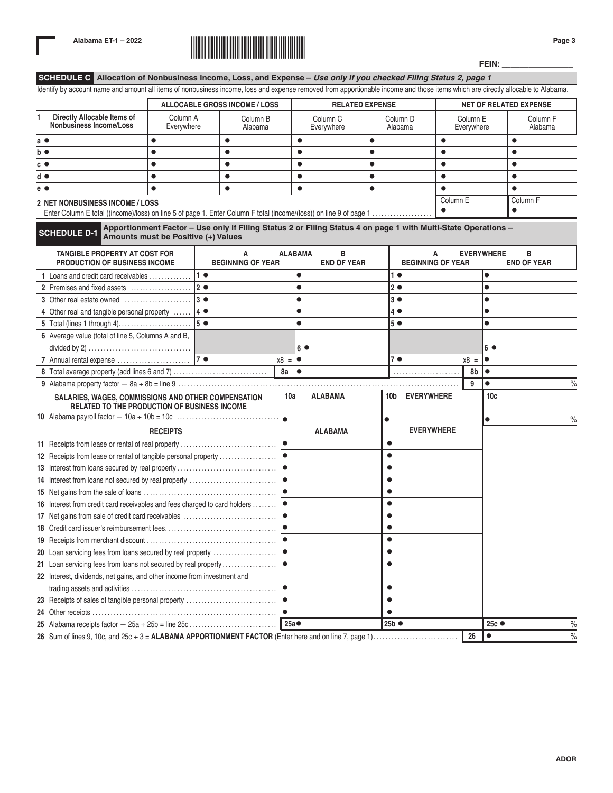

**FEIN: \_\_\_\_\_\_\_\_\_\_\_\_\_\_\_\_**

**SCHEDULE C Allocation of Nonbusiness Income, Loss, and Expense –** *Use only if you checked Filing Status 2, page 1*

| Identify by account name and amount all items of nonbusiness income, loss and expense removed from apportionable income and those items which are directly allocable to Alabama. |                                                                                                                                                      |                |                               |                   |                                   |                               |                                |                               |                        |                   |                                  |      |
|----------------------------------------------------------------------------------------------------------------------------------------------------------------------------------|------------------------------------------------------------------------------------------------------------------------------------------------------|----------------|-------------------------------|-------------------|-----------------------------------|-------------------------------|--------------------------------|-------------------------------|------------------------|-------------------|----------------------------------|------|
|                                                                                                                                                                                  | <b>ALLOCABLE GROSS INCOME / LOSS</b><br><b>RELATED EXPENSE</b>                                                                                       |                |                               |                   |                                   | <b>NET OF RELATED EXPENSE</b> |                                |                               |                        |                   |                                  |      |
| Directly Allocable Items of<br>1<br>Nonbusiness Income/Loss                                                                                                                      | Column A<br>Everywhere                                                                                                                               |                | Column B<br>Alabama           |                   | Column <sub>C</sub><br>Everywhere |                               | Column <sub>D</sub><br>Alabama |                               | Column E<br>Everywhere |                   | Column <sub>F</sub><br>Alabama   |      |
| a $\bullet$                                                                                                                                                                      | $\bullet$                                                                                                                                            | $\bullet$      |                               | $\bullet$         |                                   | $\bullet$                     |                                | $\bullet$                     |                        |                   | $\bullet$                        |      |
| b ●                                                                                                                                                                              | $\bullet$                                                                                                                                            | $\bullet$      |                               | $\bullet$         |                                   | $\bullet$                     |                                | $\bullet$                     |                        |                   |                                  |      |
| $c \bullet$                                                                                                                                                                      | $\bullet$                                                                                                                                            | $\bullet$      |                               | $\bullet$         |                                   | $\bullet$                     |                                | $\bullet$                     |                        |                   | $\bullet$                        |      |
| d ●                                                                                                                                                                              | $\bullet$                                                                                                                                            | $\bullet$      |                               | $\bullet$         |                                   | $\bullet$                     |                                | $\bullet$                     |                        |                   | $\bullet$                        |      |
| e ●                                                                                                                                                                              | $\bullet$                                                                                                                                            | $\bullet$      |                               | $\bullet$         |                                   | $\bullet$                     |                                | $\bullet$                     |                        |                   | $\bullet$                        |      |
| 2 NET NONBUSINESS INCOME / LOSS                                                                                                                                                  |                                                                                                                                                      |                |                               |                   |                                   |                               |                                | Column E<br>$\bullet$         |                        |                   | Column <sub>F</sub><br>$\bullet$ |      |
| <b>SCHEDULE D-1</b>                                                                                                                                                              | Apportionment Factor - Use only if Filing Status 2 or Filing Status 4 on page 1 with Multi-State Operations -<br>Amounts must be Positive (+) Values |                |                               |                   |                                   |                               |                                |                               |                        |                   |                                  |      |
| TANGIBLE PROPERTY AT COST FOR<br>PRODUCTION OF BUSINESS INCOME                                                                                                                   |                                                                                                                                                      |                | А<br><b>BEGINNING OF YEAR</b> | <b>ALABAMA</b>    | в<br><b>END OF YEAR</b>           |                               |                                | A<br><b>BEGINNING OF YEAR</b> |                        | <b>EVERYWHERE</b> | в<br><b>END OF YEAR</b>          |      |
| 1 Loans and credit card receivables                                                                                                                                              |                                                                                                                                                      | 1 <sub>0</sub> |                               | $\bullet$         |                                   |                               | 1 <sub>0</sub>                 |                               |                        | $\bullet$         |                                  |      |
| 2 Premises and fixed assets                                                                                                                                                      |                                                                                                                                                      | 2 <sub>o</sub> |                               | $\bullet$         |                                   |                               | 2 <sub>o</sub>                 |                               |                        | $\bullet$         |                                  |      |
| 3 Other real estate owned                                                                                                                                                        |                                                                                                                                                      | $3 \bullet$    |                               | $\bullet$         |                                   |                               | 3 <sup>o</sup>                 |                               |                        | $\bullet$         |                                  |      |
| 4 Other real and tangible personal property $ 4 \bullet$                                                                                                                         |                                                                                                                                                      |                |                               | $\bullet$         |                                   |                               | 4 ●                            |                               |                        | $\bullet$         |                                  |      |
| 5 Total (lines 1 through 4)                                                                                                                                                      |                                                                                                                                                      | 5 <sub>o</sub> |                               | $\bullet$         |                                   |                               | 5 <sup>°</sup>                 |                               |                        | $\bullet$         |                                  |      |
| 6 Average value (total of line 5, Columns A and B,                                                                                                                               |                                                                                                                                                      |                |                               |                   |                                   |                               |                                |                               |                        |                   |                                  |      |
|                                                                                                                                                                                  |                                                                                                                                                      |                |                               | $6^{\circ}$       |                                   |                               |                                |                               |                        | 6 ●               |                                  |      |
|                                                                                                                                                                                  |                                                                                                                                                      |                |                               | $x8 = 0$          |                                   |                               | 7●                             |                               | $x8 =$                 | $\bullet$         |                                  |      |
|                                                                                                                                                                                  |                                                                                                                                                      |                |                               | $8a \mid \bullet$ |                                   |                               |                                |                               | 8b                     | $\bullet$         |                                  |      |
|                                                                                                                                                                                  |                                                                                                                                                      |                |                               |                   |                                   |                               |                                |                               | 9                      | $\bullet$         |                                  | $\%$ |
| SALARIES, WAGES, COMMISSIONS AND OTHER COMPENSATION<br>RELATED TO THE PRODUCTION OF BUSINESS INCOME                                                                              |                                                                                                                                                      |                |                               | 10a               | <b>ALABAMA</b>                    |                               | 10b EVERYWHERE                 |                               |                        | 10 <sub>c</sub>   |                                  |      |
|                                                                                                                                                                                  |                                                                                                                                                      |                |                               | l o               |                                   | $\bullet$                     |                                |                               |                        | $\bullet$         |                                  | %    |
|                                                                                                                                                                                  | <b>RECEIPTS</b>                                                                                                                                      |                |                               |                   | <b>ALABAMA</b>                    |                               |                                | <b>EVERYWHERE</b>             |                        |                   |                                  |      |
| 11 Receipts from lease or rental of real property                                                                                                                                |                                                                                                                                                      |                |                               | $\bullet$         |                                   | $\bullet$                     |                                |                               |                        |                   |                                  |      |
| 12 Receipts from lease or rental of tangible personal property                                                                                                                   |                                                                                                                                                      |                |                               | lo                |                                   | $\bullet$                     |                                |                               |                        |                   |                                  |      |
| 13 Interest from loans secured by real property                                                                                                                                  |                                                                                                                                                      |                |                               | lo                |                                   | $\bullet$                     |                                |                               |                        |                   |                                  |      |
| 14 Interest from loans not secured by real property                                                                                                                              |                                                                                                                                                      |                |                               | lo                |                                   | $\bullet$                     |                                |                               |                        |                   |                                  |      |
|                                                                                                                                                                                  |                                                                                                                                                      |                |                               | lo                |                                   | $\bullet$                     |                                |                               |                        |                   |                                  |      |
| 16 Interest from credit card receivables and fees charged to card holders                                                                                                        |                                                                                                                                                      |                |                               |                   |                                   | $\bullet$                     |                                |                               |                        |                   |                                  |      |
|                                                                                                                                                                                  |                                                                                                                                                      |                |                               |                   |                                   | $\bullet$                     |                                |                               |                        |                   |                                  |      |
|                                                                                                                                                                                  |                                                                                                                                                      |                |                               | lo                |                                   | $\bullet$                     |                                |                               |                        |                   |                                  |      |
|                                                                                                                                                                                  |                                                                                                                                                      |                |                               |                   |                                   | $\bullet$                     |                                |                               |                        |                   |                                  |      |
|                                                                                                                                                                                  |                                                                                                                                                      |                |                               |                   |                                   | $\bullet$                     |                                |                               |                        |                   |                                  |      |
| 21 Loan servicing fees from loans not secured by real property                                                                                                                   |                                                                                                                                                      |                |                               | 10                |                                   | $\bullet$                     |                                |                               |                        |                   |                                  |      |
| 22 Interest, dividends, net gains, and other income from investment and                                                                                                          |                                                                                                                                                      |                |                               |                   |                                   |                               |                                |                               |                        |                   |                                  |      |
|                                                                                                                                                                                  |                                                                                                                                                      |                |                               |                   |                                   |                               |                                |                               |                        |                   |                                  |      |
| 23 Receipts of sales of tangible personal property                                                                                                                               |                                                                                                                                                      |                |                               | 10                |                                   | $\bullet$                     |                                |                               |                        |                   |                                  |      |
|                                                                                                                                                                                  |                                                                                                                                                      |                |                               | $\bullet$         |                                   | $\bullet$                     |                                |                               |                        |                   |                                  |      |
|                                                                                                                                                                                  |                                                                                                                                                      |                |                               | 25a <del>●</del>  |                                   |                               | 25b ●                          |                               |                        | 25с ●             |                                  | $\%$ |
| 26 Sum of lines 9, 10c, and 25c + 3 = ALABAMA APPORTIONMENT FACTOR (Enter here and on line 7, page 1)                                                                            |                                                                                                                                                      |                |                               |                   |                                   |                               |                                |                               | 26                     | $\bullet$         |                                  | $\%$ |